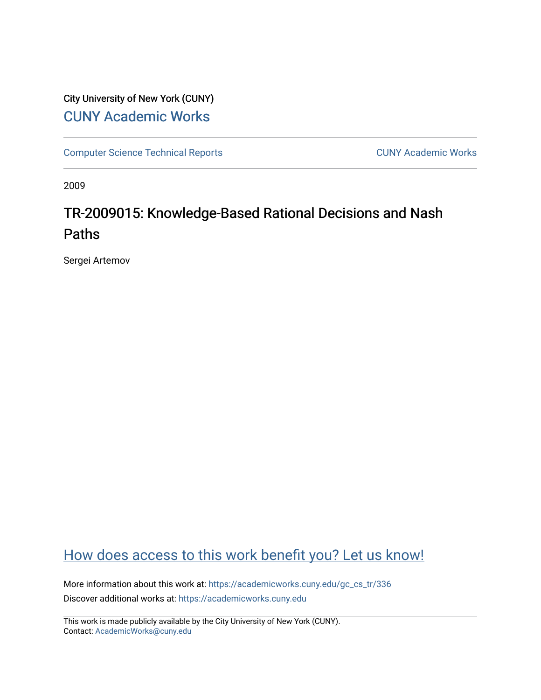# City University of New York (CUNY) [CUNY Academic Works](https://academicworks.cuny.edu/)

[Computer Science Technical Reports](https://academicworks.cuny.edu/gc_cs_tr) **CUNY Academic Works** CUNY Academic Works

2009

# TR-2009015: Knowledge-Based Rational Decisions and Nash Paths

Sergei Artemov

# [How does access to this work benefit you? Let us know!](http://ols.cuny.edu/academicworks/?ref=https://academicworks.cuny.edu/gc_cs_tr/336)

More information about this work at: [https://academicworks.cuny.edu/gc\\_cs\\_tr/336](https://academicworks.cuny.edu/gc_cs_tr/336)  Discover additional works at: [https://academicworks.cuny.edu](https://academicworks.cuny.edu/?)

This work is made publicly available by the City University of New York (CUNY). Contact: [AcademicWorks@cuny.edu](mailto:AcademicWorks@cuny.edu)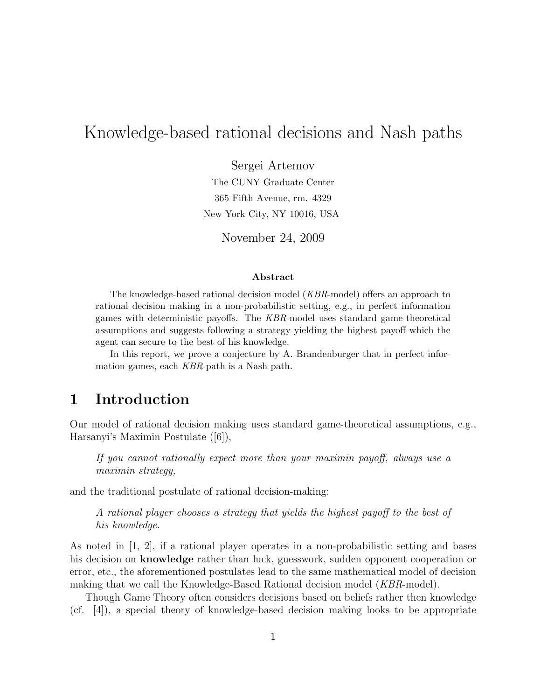# Knowledge-based rational decisions and Nash paths

Sergei Artemov

The CUNY Graduate Center 365 Fifth Avenue, rm. 4329 New York City, NY 10016, USA

November 24, 2009

#### Abstract

The knowledge-based rational decision model (KBR-model) offers an approach to rational decision making in a non-probabilistic setting, e.g., in perfect information games with deterministic payoffs. The KBR-model uses standard game-theoretical assumptions and suggests following a strategy yielding the highest payoff which the agent can secure to the best of his knowledge.

In this report, we prove a conjecture by A. Brandenburger that in perfect information games, each KBR-path is a Nash path.

## 1 Introduction

Our model of rational decision making uses standard game-theoretical assumptions, e.g., Harsanyi's Maximin Postulate ([6]),

If you cannot rationally expect more than your maximin payoff, always use a maximin strategy,

and the traditional postulate of rational decision-making:

A rational player chooses a strategy that yields the highest payoff to the best of his knowledge.

As noted in  $\vert 1, 2 \vert$ , if a rational player operates in a non-probabilistic setting and bases his decision on knowledge rather than luck, guesswork, sudden opponent cooperation or error, etc., the aforementioned postulates lead to the same mathematical model of decision making that we call the Knowledge-Based Rational decision model (KBR-model).

Though Game Theory often considers decisions based on beliefs rather then knowledge (cf. [4]), a special theory of knowledge-based decision making looks to be appropriate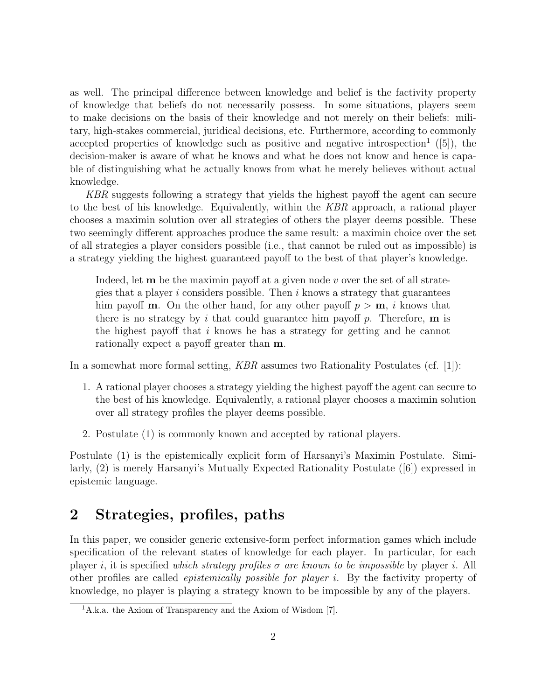as well. The principal difference between knowledge and belief is the factivity property of knowledge that beliefs do not necessarily possess. In some situations, players seem to make decisions on the basis of their knowledge and not merely on their beliefs: military, high-stakes commercial, juridical decisions, etc. Furthermore, according to commonly accepted properties of knowledge such as positive and negative introspection<sup>1</sup> ([5]), the decision-maker is aware of what he knows and what he does not know and hence is capable of distinguishing what he actually knows from what he merely believes without actual knowledge.

KBR suggests following a strategy that yields the highest payoff the agent can secure to the best of his knowledge. Equivalently, within the KBR approach, a rational player chooses a maximin solution over all strategies of others the player deems possible. These two seemingly different approaches produce the same result: a maximin choice over the set of all strategies a player considers possible (i.e., that cannot be ruled out as impossible) is a strategy yielding the highest guaranteed payoff to the best of that player's knowledge.

Indeed, let **m** be the maximin payoff at a given node v over the set of all strategies that a player i considers possible. Then i knows a strategy that guarantees him payoff **m**. On the other hand, for any other payoff  $p > m$ , i knows that there is no strategy by i that could guarantee him payoff p. Therefore,  $\bf{m}$  is the highest payoff that  $i$  knows he has a strategy for getting and he cannot rationally expect a payoff greater than m.

In a somewhat more formal setting,  $KBR$  assumes two Rationality Postulates (cf. [1]):

- 1. A rational player chooses a strategy yielding the highest payoff the agent can secure to the best of his knowledge. Equivalently, a rational player chooses a maximin solution over all strategy profiles the player deems possible.
- 2. Postulate (1) is commonly known and accepted by rational players.

Postulate (1) is the epistemically explicit form of Harsanyi's Maximin Postulate. Similarly, (2) is merely Harsanyi's Mutually Expected Rationality Postulate ([6]) expressed in epistemic language.

# 2 Strategies, profiles, paths

In this paper, we consider generic extensive-form perfect information games which include specification of the relevant states of knowledge for each player. In particular, for each player i, it is specified which strategy profiles  $\sigma$  are known to be impossible by player i. All other profiles are called epistemically possible for player i. By the factivity property of knowledge, no player is playing a strategy known to be impossible by any of the players.

<sup>1</sup>A.k.a. the Axiom of Transparency and the Axiom of Wisdom [7].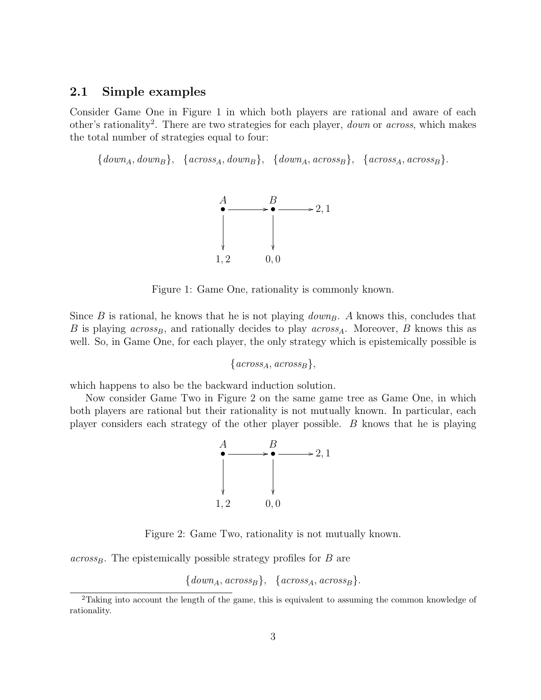#### 2.1 Simple examples

Consider Game One in Figure 1 in which both players are rational and aware of each other's rationality<sup>2</sup>. There are two strategies for each player, *down* or *across*, which makes the total number of strategies equal to four:

 ${down<sub>A</sub>, down<sub>B</sub>}, \{across<sub>A</sub>, down<sub>B</sub>}, \{down<sub>A</sub>, across<sub>B</sub>}, \{across<sub>A</sub>, across<sub>B</sub> \}.$ 



Figure 1: Game One, rationality is commonly known.

Since B is rational, he knows that he is not playing  $down_B$ . A knows this, concludes that B is playing  $across_B$ , and rationally decides to play  $across_A$ . Moreover, B knows this as well. So, in Game One, for each player, the only strategy which is epistemically possible is

 $\{across_A, across_B\},\$ 

which happens to also be the backward induction solution.

Now consider Game Two in Figure 2 on the same game tree as Game One, in which both players are rational but their rationality is not mutually known. In particular, each player considers each strategy of the other player possible. B knows that he is playing



Figure 2: Game Two, rationality is not mutually known.

 $across_B$ . The epistemically possible strategy profiles for B are

 $\{down_A, across_B\}, \{ across_A, across_B\}.$ 

<sup>2</sup>Taking into account the length of the game, this is equivalent to assuming the common knowledge of rationality.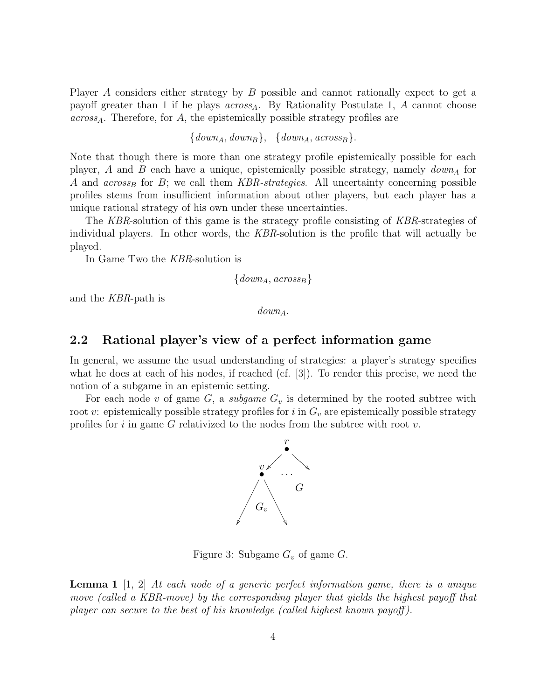Player A considers either strategy by B possible and cannot rationally expect to get a payoff greater than 1 if he plays  $across_A$ . By Rationality Postulate 1, A cannot choose  $across<sub>A</sub>$ . Therefore, for A, the epistemically possible strategy profiles are

 $\{down_A, down_B\}, \ \{down_A, across_B\}.$ 

Note that though there is more than one strategy profile epistemically possible for each player, A and B each have a unique, epistemically possible strategy, namely  $down_A$  for A and  $across_B$  for B; we call them KBR-strategies. All uncertainty concerning possible profiles stems from insufficient information about other players, but each player has a unique rational strategy of his own under these uncertainties.

The KBR-solution of this game is the strategy profile consisting of KBR-strategies of individual players. In other words, the KBR-solution is the profile that will actually be played.

In Game Two the KBR-solution is

 $\{downA, \, \text{across}_B\}$ 

and the KBR-path is

 $down_{A}$ .

#### 2.2 Rational player's view of a perfect information game

In general, we assume the usual understanding of strategies: a player's strategy specifies what he does at each of his nodes, if reached (cf. [3]). To render this precise, we need the notion of a subgame in an epistemic setting.

For each node v of game  $G$ , a *subgame*  $G<sub>v</sub>$  is determined by the rooted subtree with root v: epistemically possible strategy profiles for i in  $G_v$  are epistemically possible strategy profiles for i in game G relativized to the nodes from the subtree with root  $v$ .



Figure 3: Subgame  $G_v$  of game  $G$ .

**Lemma 1** [1, 2] At each node of a generic perfect information game, there is a unique move (called a KBR-move) by the corresponding player that yields the highest payoff that player can secure to the best of his knowledge (called highest known payoff).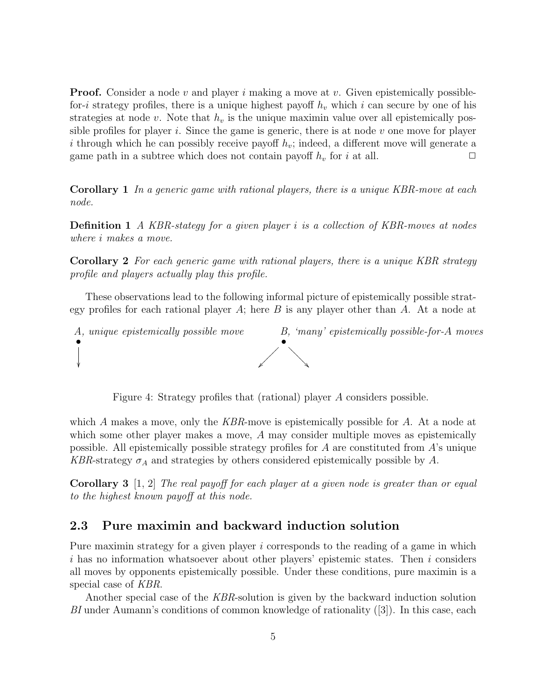**Proof.** Consider a node v and player i making a move at v. Given epistemically possiblefor-i strategy profiles, there is a unique highest payoff  $h_v$  which i can secure by one of his strategies at node v. Note that  $h<sub>v</sub>$  is the unique maximin value over all epistemically possible profiles for player i. Since the game is generic, there is at node  $v$  one move for player i through which he can possibly receive payoff  $h_v$ ; indeed, a different move will generate a game path in a subtree which does not contain payoff  $h_v$  for i at all.  $\Box$ 

Corollary 1 In a generic game with rational players, there is a unique KBR-move at each node.

Definition 1 A KBR-stategy for a given player i is a collection of KBR-moves at nodes where i makes a move.

Corollary 2 For each generic game with rational players, there is a unique KBR strategy profile and players actually play this profile.

These observations lead to the following informal picture of epistemically possible strategy profiles for each rational player  $A$ ; here  $B$  is any player other than  $A$ . At a node at



Figure 4: Strategy profiles that (rational) player A considers possible.

which A makes a move, only the  $KBR$ -move is epistemically possible for A. At a node at which some other player makes a move, A may consider multiple moves as epistemically possible. All epistemically possible strategy profiles for  $A$  are constituted from  $A$ 's unique KBR-strategy  $\sigma_A$  and strategies by others considered epistemically possible by A.

Corollary 3 [1, 2] The real payoff for each player at a given node is greater than or equal to the highest known payoff at this node.

#### 2.3 Pure maximin and backward induction solution

Pure maximin strategy for a given player  $i$  corresponds to the reading of a game in which  $i$  has no information whatsoever about other players' epistemic states. Then  $i$  considers all moves by opponents epistemically possible. Under these conditions, pure maximin is a special case of KBR.

Another special case of the KBR-solution is given by the backward induction solution BI under Aumann's conditions of common knowledge of rationality ([3]). In this case, each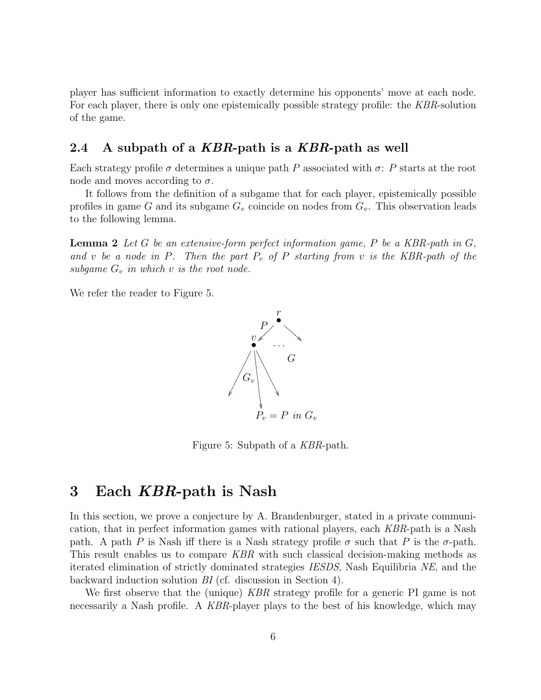player has sufficient information to exactly determine his opponents' move at each node. For each player, there is only one epistemically possible strategy profile: the KBR-solution of the game.

#### 2.4 A subpath of a KBR-path is a KBR-path as well

Each strategy profile  $\sigma$  determines a unique path P associated with  $\sigma$ : P starts at the root node and moves according to  $\sigma$ .

It follows from the definition of a subgame that for each player, epistemically possible profiles in game G and its subgame  $G_v$  coincide on nodes from  $G_v$ . This observation leads to the following lemma.

**Lemma 2** Let G be an extensive-form perfect information game, P be a KBR-path in  $G$ , and v be a node in P. Then the part  $P_v$  of P starting from v is the KBR-path of the subgame  $G_v$  in which v is the root node.

We refer the reader to Figure 5.



Figure 5: Subpath of a KBR-path.

## 3 Each KBR-path is Nash

In this section, we prove a conjecture by A. Brandenburger, stated in a private communication, that in perfect information games with rational players, each KBR-path is a Nash path. A path P is Nash iff there is a Nash strategy profile  $\sigma$  such that P is the  $\sigma$ -path. This result enables us to compare KBR with such classical decision-making methods as iterated elimination of strictly dominated strategies IESDS, Nash Equilibria NE, and the backward induction solution BI (cf. discussion in Section 4).

We first observe that the (unique) KBR strategy profile for a generic PI game is not necessarily a Nash profile. A KBR-player plays to the best of his knowledge, which may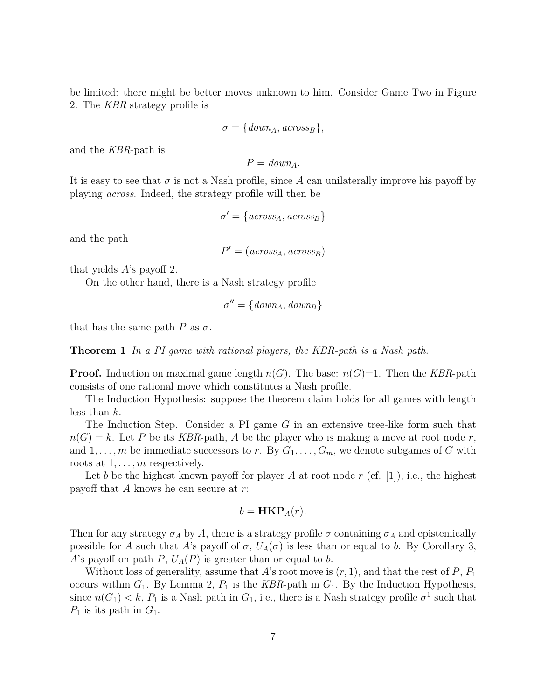be limited: there might be better moves unknown to him. Consider Game Two in Figure 2. The KBR strategy profile is

$$
\sigma = \{down_A, across_B\},\
$$

and the KBR-path is

$$
P = down_A.
$$

It is easy to see that  $\sigma$  is not a Nash profile, since A can unilaterally improve his payoff by playing across. Indeed, the strategy profile will then be

$$
\sigma' = \{ \text{across}_A, \text{across}_B \}
$$

and the path

 $P' = (across_A, across_B)$ 

that yields A's payoff 2.

On the other hand, there is a Nash strategy profile

$$
\sigma'' = \{down_A, down_B\}
$$

that has the same path  $P$  as  $\sigma$ .

**Theorem 1** In a PI game with rational players, the KBR-path is a Nash path.

**Proof.** Induction on maximal game length  $n(G)$ . The base:  $n(G)=1$ . Then the KBR-path consists of one rational move which constitutes a Nash profile.

The Induction Hypothesis: suppose the theorem claim holds for all games with length less than  $k$ .

The Induction Step. Consider a PI game G in an extensive tree-like form such that  $n(G) = k$ . Let P be its KBR-path, A be the player who is making a move at root node r, and  $1, \ldots, m$  be immediate successors to r. By  $G_1, \ldots, G_m$ , we denote subgames of G with roots at  $1, \ldots, m$  respectively.

Let b be the highest known payoff for player A at root node r (cf. [1]), i.e., the highest payoff that A knows he can secure at r:

$$
b = \mathbf{HKP}_A(r).
$$

Then for any strategy  $\sigma_A$  by A, there is a strategy profile  $\sigma$  containing  $\sigma_A$  and epistemically possible for A such that A's payoff of  $\sigma$ ,  $U_A(\sigma)$  is less than or equal to b. By Corollary 3, A's payoff on path P,  $U_A(P)$  is greater than or equal to b.

Without loss of generality, assume that A's root move is  $(r, 1)$ , and that the rest of P,  $P_1$ occurs within  $G_1$ . By Lemma 2,  $P_1$  is the KBR-path in  $G_1$ . By the Induction Hypothesis, since  $n(G_1) < k$ ,  $P_1$  is a Nash path in  $G_1$ , i.e., there is a Nash strategy profile  $\sigma^1$  such that  $P_1$  is its path in  $G_1$ .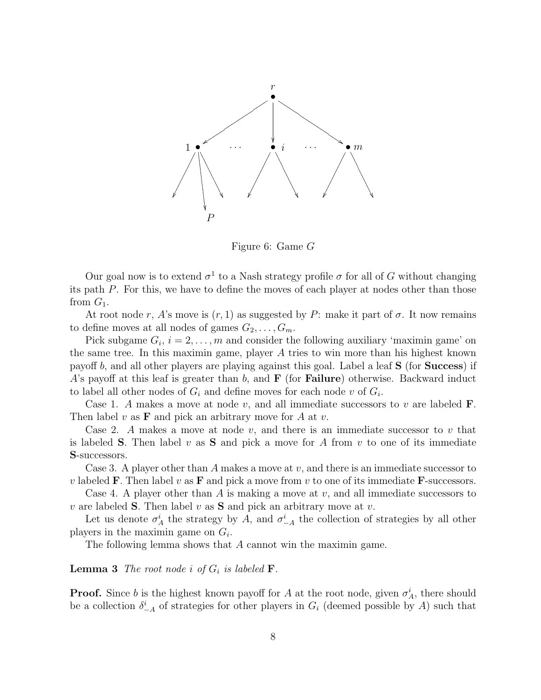

Figure 6: Game G

Our goal now is to extend  $\sigma^1$  to a Nash strategy profile  $\sigma$  for all of G without changing its path P. For this, we have to define the moves of each player at nodes other than those from  $G_1$ .

At root node r, A's move is  $(r, 1)$  as suggested by P: make it part of  $\sigma$ . It now remains to define moves at all nodes of games  $G_2, \ldots, G_m$ .

Pick subgame  $G_i$ ,  $i = 2, \ldots, m$  and consider the following auxiliary 'maximin game' on the same tree. In this maximin game, player A tries to win more than his highest known payoff b, and all other players are playing against this goal. Label a leaf S (for Success) if A's payoff at this leaf is greater than b, and  $\bf{F}$  (for **Failure**) otherwise. Backward induct to label all other nodes of  $G_i$  and define moves for each node v of  $G_i$ .

Case 1. A makes a move at node v, and all immediate successors to v are labeled  $\mathbf{F}$ . Then label v as  $\bf{F}$  and pick an arbitrary move for A at v.

Case 2. A makes a move at node v, and there is an immediate successor to v that is labeled **S**. Then label v as **S** and pick a move for A from v to one of its immediate S-successors.

Case 3. A player other than A makes a move at  $v$ , and there is an immediate successor to v labeled **F**. Then label v as **F** and pick a move from v to one of its immediate **F**-successors.

Case 4. A player other than A is making a move at  $v$ , and all immediate successors to v are labeled **S**. Then label v as **S** and pick an arbitrary move at v.

Let us denote  $\sigma_A^i$  the strategy by A, and  $\sigma_{-A}^i$  the collection of strategies by all other players in the maximin game on  $G_i$ .

The following lemma shows that A cannot win the maximin game.

**Lemma 3** The root node i of  $G_i$  is labeled **F**.

**Proof.** Since b is the highest known payoff for A at the root node, given  $\sigma_A^i$ , there should be a collection  $\delta^i_{-A}$  of strategies for other players in  $G_i$  (deemed possible by A) such that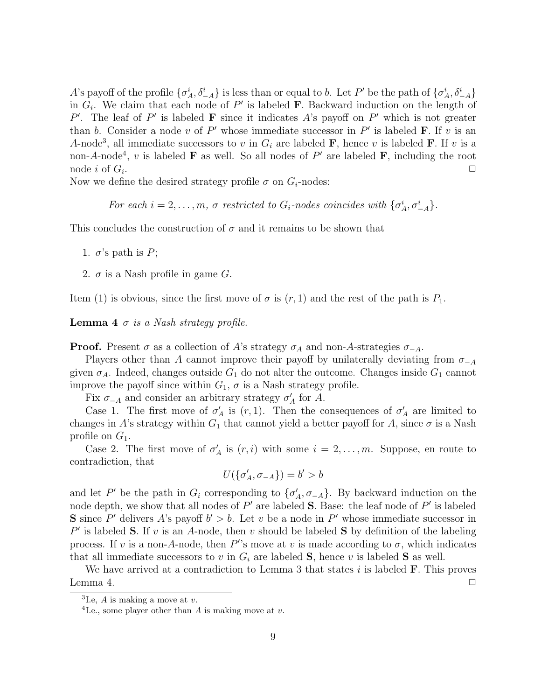A's payoff of the profile  $\{\sigma_A^i, \delta_{-A}^i\}$  is less than or equal to b. Let P' be the path of  $\{\sigma_A^i, \delta_{-A}^i\}$ in  $G_i$ . We claim that each node of  $P'$  is labeled **F**. Backward induction on the length of P'. The leaf of P' is labeled **F** since it indicates A's payoff on P' which is not greater than b. Consider a node v of P' whose immediate successor in P' is labeled **F**. If v is an A-node<sup>3</sup>, all immediate successors to v in  $G_i$  are labeled **F**, hence v is labeled **F**. If v is a non-A-node<sup>4</sup>, v is labeled **F** as well. So all nodes of P' are labeled **F**, including the root node i of  $G_i$ . . ✷

Now we define the desired strategy profile  $\sigma$  on  $G_i$ -nodes:

For each  $i = 2, \ldots, m$ ,  $\sigma$  restricted to  $G_i$ -nodes coincides with  $\{\sigma_A^i, \sigma_{-A}^i\}$ .

This concludes the construction of  $\sigma$  and it remains to be shown that

1.  $\sigma$ 's path is P;

2.  $\sigma$  is a Nash profile in game G.

Item (1) is obvious, since the first move of  $\sigma$  is  $(r, 1)$  and the rest of the path is  $P_1$ .

**Lemma 4**  $\sigma$  is a Nash strategy profile.

**Proof.** Present  $\sigma$  as a collection of A's strategy  $\sigma_A$  and non-A-strategies  $\sigma_{-A}$ .

Players other than A cannot improve their payoff by unilaterally deviating from  $\sigma_{-A}$ given  $\sigma_A$ . Indeed, changes outside  $G_1$  do not alter the outcome. Changes inside  $G_1$  cannot improve the payoff since within  $G_1$ ,  $\sigma$  is a Nash strategy profile.

Fix  $\sigma_{-A}$  and consider an arbitrary strategy  $\sigma'_{A}$  for A.

Case 1. The first move of  $\sigma'_{A}$  is  $(r, 1)$ . Then the consequences of  $\sigma'_{A}$  are limited to changes in A's strategy within  $G_1$  that cannot yield a better payoff for A, since  $\sigma$  is a Nash profile on  $G_1$ .

Case 2. The first move of  $\sigma'_{\sub{A}}$  is  $(r, i)$  with some  $i = 2, \ldots, m$ . Suppose, en route to contradiction, that

$$
U(\{\sigma'_A,\sigma_{-A}\})=b'>b
$$

and let P' be the path in  $G_i$  corresponding to  $\{\sigma'_A, \sigma_{-A}\}$ . By backward induction on the node depth, we show that all nodes of  $P'$  are labeled **S**. Base: the leaf node of  $P'$  is labeled **S** since P' delivers A's payoff  $b' > b$ . Let v be a node in P' whose immediate successor in  $P'$  is labeled S. If v is an A-node, then v should be labeled S by definition of the labeling process. If v is a non-A-node, then  $P''s$  move at v is made according to  $\sigma$ , which indicates that all immediate successors to v in  $G_i$  are labeled **S**, hence v is labeled **S** as well.

We have arrived at a contradiction to Lemma 3 that states  $i$  is labeled  $\bf{F}$ . This proves Lemma 4.  $\Box$ 

 ${}^{3}$ I.e, A is making a move at v.

<sup>&</sup>lt;sup>4</sup> I.e., some player other than A is making move at  $v$ .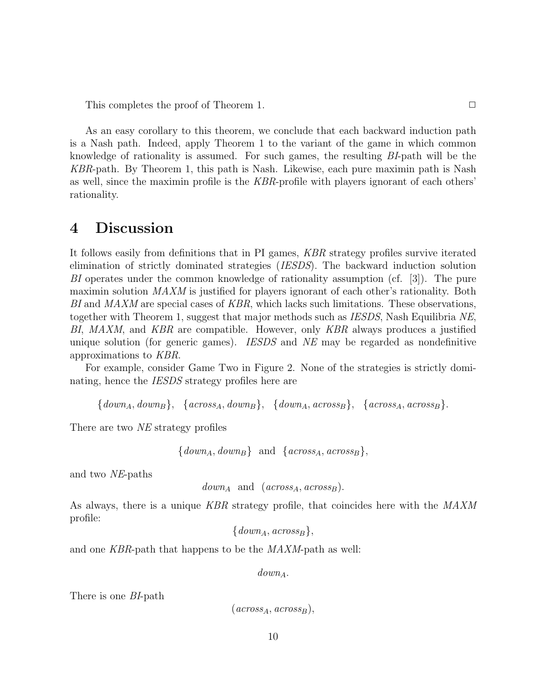This completes the proof of Theorem 1.  $\Box$ 

As an easy corollary to this theorem, we conclude that each backward induction path is a Nash path. Indeed, apply Theorem 1 to the variant of the game in which common knowledge of rationality is assumed. For such games, the resulting BI-path will be the KBR-path. By Theorem 1, this path is Nash. Likewise, each pure maximin path is Nash as well, since the maximin profile is the KBR-profile with players ignorant of each others' rationality.

### 4 Discussion

It follows easily from definitions that in PI games, KBR strategy profiles survive iterated elimination of strictly dominated strategies (IESDS). The backward induction solution BI operates under the common knowledge of rationality assumption (cf. [3]). The pure maximin solution MAXM is justified for players ignorant of each other's rationality. Both  $BI$  and  $MAXM$  are special cases of  $KBR$ , which lacks such limitations. These observations, together with Theorem 1, suggest that major methods such as *IESDS*, Nash Equilibria NE, BI, MAXM, and KBR are compatible. However, only KBR always produces a justified unique solution (for generic games). *IESDS* and *NE* may be regarded as nondefinitive approximations to KBR.

For example, consider Game Two in Figure 2. None of the strategies is strictly dominating, hence the *IESDS* strategy profiles here are

 ${down<sub>A</sub>, down<sub>B</sub>}, \{across<sub>A</sub>, down<sub>B</sub>}, \{down<sub>A</sub>, across<sub>B</sub>}, \{across<sub>A</sub>, across<sub>B</sub> \}.$ 

There are two *NE* strategy profiles

```
\{down_A, down_B\} and \{across_A, across_B\},\
```
and two NE-paths

```
down_{A} and (arross_{A}, across_{B}).
```
As always, there is a unique KBR strategy profile, that coincides here with the MAXM profile:

 $\{down_A, across_B\},\$ 

and one KBR-path that happens to be the MAXM-path as well:

 $down_{A}$ .

There is one BI-path

```
(\textit{across}_A, \textit{across}_B),
```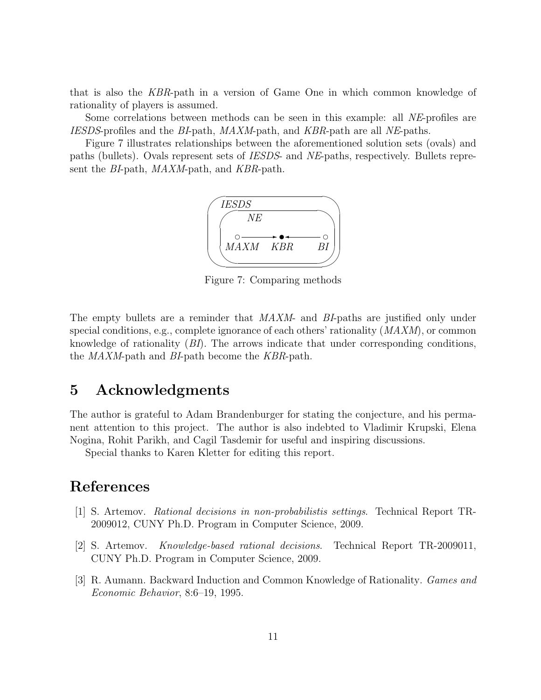that is also the KBR-path in a version of Game One in which common knowledge of rationality of players is assumed.

Some correlations between methods can be seen in this example: all NE-profiles are IESDS-profiles and the BI-path, MAXM-path, and KBR-path are all NE-paths.

Figure 7 illustrates relationships between the aforementioned solution sets (ovals) and paths (bullets). Ovals represent sets of IESDS- and NE-paths, respectively. Bullets represent the *BI*-path, *MAXM*-path, and *KBR*-path.



Figure 7: Comparing methods

The empty bullets are a reminder that MAXM- and BI-paths are justified only under special conditions, e.g., complete ignorance of each others' rationality (MAXM), or common knowledge of rationality  $(BI)$ . The arrows indicate that under corresponding conditions, the MAXM-path and BI-path become the KBR-path.

## 5 Acknowledgments

The author is grateful to Adam Brandenburger for stating the conjecture, and his permanent attention to this project. The author is also indebted to Vladimir Krupski, Elena Nogina, Rohit Parikh, and Cagil Tasdemir for useful and inspiring discussions.

Special thanks to Karen Kletter for editing this report.

## References

- [1] S. Artemov. Rational decisions in non-probabilistis settings. Technical Report TR-2009012, CUNY Ph.D. Program in Computer Science, 2009.
- [2] S. Artemov. Knowledge-based rational decisions. Technical Report TR-2009011, CUNY Ph.D. Program in Computer Science, 2009.
- [3] R. Aumann. Backward Induction and Common Knowledge of Rationality. Games and Economic Behavior, 8:6–19, 1995.